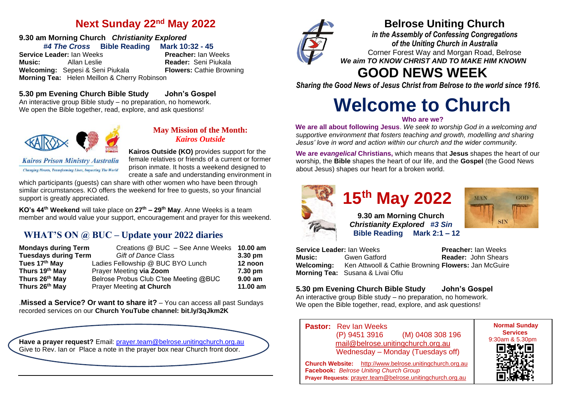## **Next Sunday 22nd May 2022**

## **9.30 am Morning Church** *Christianity Explored*

*#4 The Cross* **Bible Reading Mark 10:32 - 45 Service Leader:** Ian Weeks **Music:** Allan Leslie **Reader:** Seni Piukala **Welcoming:** Sepesi & Seni Piukala **Morning Tea:** Helen Meillon & Cherry Robinson

## **5.30 pm Evening Church Bible Study John's Gospel**

An interactive group Bible study – no preparation, no homework. We open the Bible together, read, explore, and ask questions!



**Kairos Prison Ministry Australia Changing Hearts, Transforming Lives, Impacting The World** 

## **May Mission of the Month:** *Kairos Outside*

**Kairos Outside (KO)** provides support for the female relatives or friends of a current or former prison inmate. It hosts a weekend designed to create a safe and understanding environment in

which participants (quests) can share with other women who have been through similar circumstances. KO offers the weekend for free to guests, so your financial support is greatly appreciated.

**KO's 44th Weekend** will take place on **27th – 29th May**. Anne Weeks is a team member and would value your support, encouragement and prayer for this weekend.

## **WHAT'S ON @ BUC – Update your 2022 diaries**

| <b>Mondays during Term</b>  | Creations @ BUC - See Anne Weeks 10.00 am |           |
|-----------------------------|-------------------------------------------|-----------|
| <b>Tuesdays during Term</b> | <b>Gift of Dance Class</b>                | $3.30$ pm |
| Tues 17th May               | Ladies Fellowship @ BUC BYO Lunch         | 12 noon   |
| Thurs 19th May              | Prayer Meeting via Zoom                   | 7.30 pm   |
| Thurs 26th May              | Belrose Probus Club C'tee Meeting @BUC    | $9.00$ am |
| Thurs 26th May              | Prayer Meeting at Church                  | 11.00 am  |

.**Missed a Service? Or want to share it?** – You can access all past Sundays recorded services on our **Church YouTube channel: bit.ly/3qJkm2K**





## **Belrose Uniting Church**

*in the Assembly of Confessing Congregations of the Uniting Church in Australia* Corner Forest Way and Morgan Road, Belrose *We aim TO KNOW CHRIST AND TO MAKE HIM KNOWN*

## **GOOD NEWS WEEK**

*Sharing the Good News of Jesus Christ from Belrose to the world since 1916.*

# **Welcome to Church**

#### **Who are we?**

**We are all about following Jesus**. *We seek to worship God in a welcoming and supportive environment that fosters teaching and growth, modelling and sharing Jesus' love in word and action within our church and the wider community.*

**We are** *evangelical* **Christians,** which means that **Jesus** shapes the heart of our worship, the **Bible** shapes the heart of our life, and the **Gospel** (the Good News about Jesus) shapes our heart for a broken world.



# **15th May 2022**

**9.30 am Morning Church**  *Christianity Explored**#3 Sin*  **Bible Reading Mark 2:1 – 12**



**Service Leader:** Ian Weeks **Preacher:** Ian Weeks<br> **Music:** Gwen Gatford **Reader:** John Shears **Reader:** John Shears **Welcoming:** Ken Attwooll & Cathie Browning **Flowers:** Jan McGuire **Morning Tea:** Susana & Livai Ofiu

## **5.30 pm Evening Church Bible Study John's Gospel**

An interactive group Bible study – no preparation, no homework. We open the Bible together, read, explore, and ask questions!

**Pastor:** Rev Ian Weeks (P) 9451 3916 (M) 0408 308 196 [mail@belrose.unitingchurch.org.au](mailto:mail@belrose.unitingchurch.org.au) Wednesday – Monday (Tuesdays off)

**Church Website:** [http://www.belrose.unitingchurch.org.au](http://www.belrose.unitingchurch.org.au/) **Facebook:** *Belrose Uniting Church Group* **Prayer Requests**: [prayer.team@belrose.unitingchurch.org.au](mailto:prayer.team@belrose.unitingchurch.org.au)